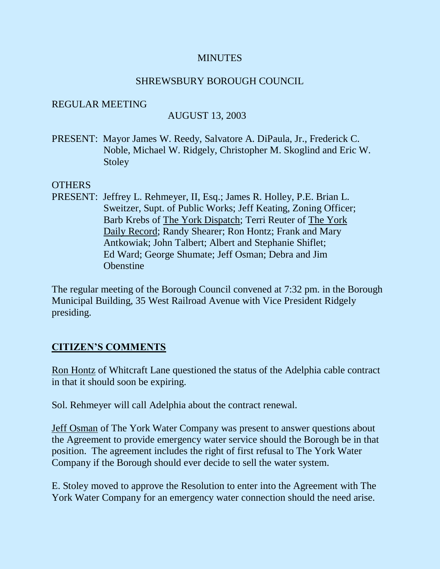#### **MINUTES**

### SHREWSBURY BOROUGH COUNCIL

#### REGULAR MEETING

### AUGUST 13, 2003

PRESENT: Mayor James W. Reedy, Salvatore A. DiPaula, Jr., Frederick C. Noble, Michael W. Ridgely, Christopher M. Skoglind and Eric W. Stoley

#### **OTHERS**

PRESENT: Jeffrey L. Rehmeyer, II, Esq.; James R. Holley, P.E. Brian L. Sweitzer, Supt. of Public Works; Jeff Keating, Zoning Officer; Barb Krebs of The York Dispatch; Terri Reuter of The York Daily Record; Randy Shearer; Ron Hontz; Frank and Mary Antkowiak; John Talbert; Albert and Stephanie Shiflet; Ed Ward; George Shumate; Jeff Osman; Debra and Jim **Obenstine** 

The regular meeting of the Borough Council convened at 7:32 pm. in the Borough Municipal Building, 35 West Railroad Avenue with Vice President Ridgely presiding.

### **CITIZEN'S COMMENTS**

Ron Hontz of Whitcraft Lane questioned the status of the Adelphia cable contract in that it should soon be expiring.

Sol. Rehmeyer will call Adelphia about the contract renewal.

Jeff Osman of The York Water Company was present to answer questions about the Agreement to provide emergency water service should the Borough be in that position. The agreement includes the right of first refusal to The York Water Company if the Borough should ever decide to sell the water system.

E. Stoley moved to approve the Resolution to enter into the Agreement with The York Water Company for an emergency water connection should the need arise.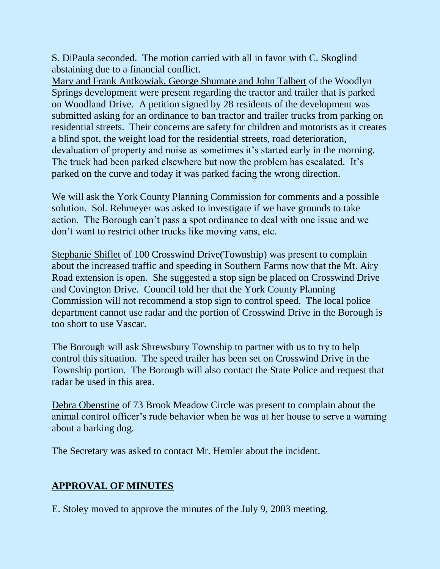S. DiPaula seconded. The motion carried with all in favor with C. Skoglind abstaining due to a financial conflict.

Mary and Frank Antkowiak, George Shumate and John Talbert of the Woodlyn Springs development were present regarding the tractor and trailer that is parked on Woodland Drive. A petition signed by 28 residents of the development was submitted asking for an ordinance to ban tractor and trailer trucks from parking on residential streets. Their concerns are safety for children and motorists as it creates a blind spot, the weight load for the residential streets, road deterioration, devaluation of property and noise as sometimes it's started early in the morning. The truck had been parked elsewhere but now the problem has escalated. It's parked on the curve and today it was parked facing the wrong direction.

We will ask the York County Planning Commission for comments and a possible solution. Sol. Rehmeyer was asked to investigate if we have grounds to take action. The Borough can't pass a spot ordinance to deal with one issue and we don't want to restrict other trucks like moving vans, etc.

Stephanie Shiflet of 100 Crosswind Drive(Township) was present to complain about the increased traffic and speeding in Southern Farms now that the Mt. Airy Road extension is open. She suggested a stop sign be placed on Crosswind Drive and Covington Drive. Council told her that the York County Planning Commission will not recommend a stop sign to control speed. The local police department cannot use radar and the portion of Crosswind Drive in the Borough is too short to use Vascar.

The Borough will ask Shrewsbury Township to partner with us to try to help control this situation. The speed trailer has been set on Crosswind Drive in the Township portion. The Borough will also contact the State Police and request that radar be used in this area.

Debra Obenstine of 73 Brook Meadow Circle was present to complain about the animal control officer's rude behavior when he was at her house to serve a warning about a barking dog.

The Secretary was asked to contact Mr. Hemler about the incident.

# **APPROVAL OF MINUTES**

E. Stoley moved to approve the minutes of the July 9, 2003 meeting.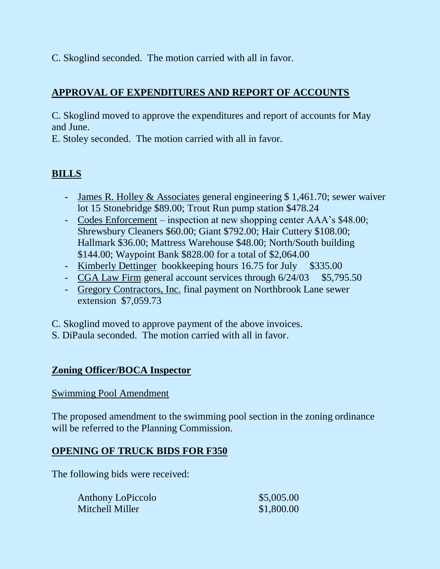C. Skoglind seconded. The motion carried with all in favor.

# **APPROVAL OF EXPENDITURES AND REPORT OF ACCOUNTS**

C. Skoglind moved to approve the expenditures and report of accounts for May and June.

E. Stoley seconded. The motion carried with all in favor.

# **BILLS**

- James R. Holley & Associates general engineering \$ 1,461.70; sewer waiver lot 15 Stonebridge \$89.00; Trout Run pump station \$478.24
- Codes Enforcement inspection at new shopping center AAA's \$48.00; Shrewsbury Cleaners \$60.00; Giant \$792.00; Hair Cuttery \$108.00; Hallmark \$36.00; Mattress Warehouse \$48.00; North/South building \$144.00; Waypoint Bank \$828.00 for a total of \$2,064.00
- Kimberly Dettinger bookkeeping hours 16.75 for July \$335.00
- CGA Law Firm general account services through  $6/24/03$  \$5,795.50
- Gregory Contractors, Inc. final payment on Northbrook Lane sewer extension \$7,059.73

C. Skoglind moved to approve payment of the above invoices.

S. DiPaula seconded. The motion carried with all in favor.

## **Zoning Officer/BOCA Inspector**

### Swimming Pool Amendment

The proposed amendment to the swimming pool section in the zoning ordinance will be referred to the Planning Commission.

## **OPENING OF TRUCK BIDS FOR F350**

The following bids were received:

| <b>Anthony LoPiccolo</b> | \$5,005.00 |
|--------------------------|------------|
| Mitchell Miller          | \$1,800.00 |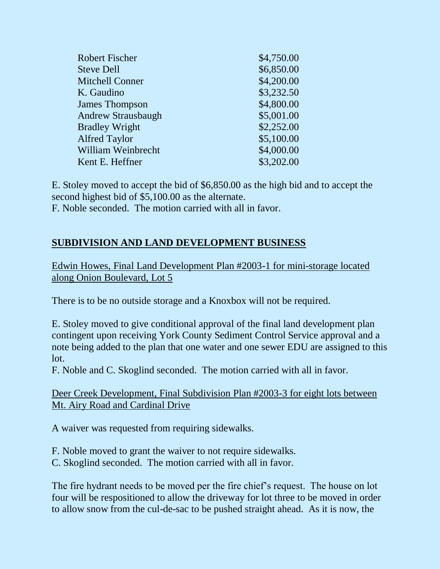| <b>Robert Fischer</b>     | \$4,750.00 |
|---------------------------|------------|
| <b>Steve Dell</b>         | \$6,850.00 |
| <b>Mitchell Conner</b>    | \$4,200.00 |
| K. Gaudino                | \$3,232.50 |
| <b>James Thompson</b>     | \$4,800.00 |
| <b>Andrew Strausbaugh</b> | \$5,001.00 |
| <b>Bradley Wright</b>     | \$2,252.00 |
| <b>Alfred Taylor</b>      | \$5,100.00 |
| <b>William Weinbrecht</b> | \$4,000.00 |
| Kent E. Heffner           | \$3,202.00 |
|                           |            |

E. Stoley moved to accept the bid of \$6,850.00 as the high bid and to accept the second highest bid of \$5,100.00 as the alternate.

F. Noble seconded. The motion carried with all in favor.

## **SUBDIVISION AND LAND DEVELOPMENT BUSINESS**

Edwin Howes, Final Land Development Plan #2003-1 for mini-storage located along Onion Boulevard, Lot 5

There is to be no outside storage and a Knoxbox will not be required.

E. Stoley moved to give conditional approval of the final land development plan contingent upon receiving York County Sediment Control Service approval and a note being added to the plan that one water and one sewer EDU are assigned to this lot.

F. Noble and C. Skoglind seconded. The motion carried with all in favor.

Deer Creek Development, Final Subdivision Plan #2003-3 for eight lots between Mt. Airy Road and Cardinal Drive

A waiver was requested from requiring sidewalks.

- F. Noble moved to grant the waiver to not require sidewalks.
- C. Skoglind seconded. The motion carried with all in favor.

The fire hydrant needs to be moved per the fire chief's request. The house on lot four will be respositioned to allow the driveway for lot three to be moved in order to allow snow from the cul-de-sac to be pushed straight ahead. As it is now, the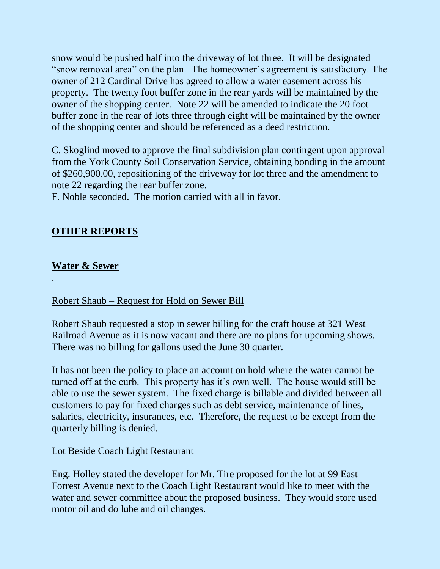snow would be pushed half into the driveway of lot three. It will be designated "snow removal area" on the plan. The homeowner's agreement is satisfactory. The owner of 212 Cardinal Drive has agreed to allow a water easement across his property. The twenty foot buffer zone in the rear yards will be maintained by the owner of the shopping center. Note 22 will be amended to indicate the 20 foot buffer zone in the rear of lots three through eight will be maintained by the owner of the shopping center and should be referenced as a deed restriction.

C. Skoglind moved to approve the final subdivision plan contingent upon approval from the York County Soil Conservation Service, obtaining bonding in the amount of \$260,900.00, repositioning of the driveway for lot three and the amendment to note 22 regarding the rear buffer zone.

F. Noble seconded. The motion carried with all in favor.

## **OTHER REPORTS**

## **Water & Sewer**

.

### Robert Shaub – Request for Hold on Sewer Bill

Robert Shaub requested a stop in sewer billing for the craft house at 321 West Railroad Avenue as it is now vacant and there are no plans for upcoming shows. There was no billing for gallons used the June 30 quarter.

It has not been the policy to place an account on hold where the water cannot be turned off at the curb. This property has it's own well. The house would still be able to use the sewer system. The fixed charge is billable and divided between all customers to pay for fixed charges such as debt service, maintenance of lines, salaries, electricity, insurances, etc. Therefore, the request to be except from the quarterly billing is denied.

### Lot Beside Coach Light Restaurant

Eng. Holley stated the developer for Mr. Tire proposed for the lot at 99 East Forrest Avenue next to the Coach Light Restaurant would like to meet with the water and sewer committee about the proposed business. They would store used motor oil and do lube and oil changes.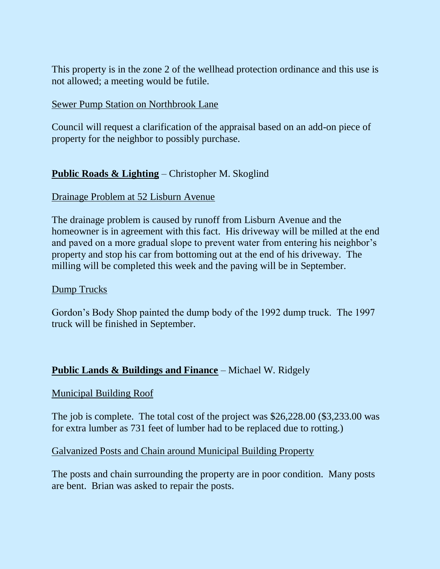This property is in the zone 2 of the wellhead protection ordinance and this use is not allowed; a meeting would be futile.

#### Sewer Pump Station on Northbrook Lane

Council will request a clarification of the appraisal based on an add-on piece of property for the neighbor to possibly purchase.

## **Public Roads & Lighting** – Christopher M. Skoglind

#### Drainage Problem at 52 Lisburn Avenue

The drainage problem is caused by runoff from Lisburn Avenue and the homeowner is in agreement with this fact. His driveway will be milled at the end and paved on a more gradual slope to prevent water from entering his neighbor's property and stop his car from bottoming out at the end of his driveway. The milling will be completed this week and the paving will be in September.

#### Dump Trucks

Gordon's Body Shop painted the dump body of the 1992 dump truck. The 1997 truck will be finished in September.

### **Public Lands & Buildings and Finance** – Michael W. Ridgely

#### Municipal Building Roof

The job is complete. The total cost of the project was \$26,228.00 (\$3,233.00 was for extra lumber as 731 feet of lumber had to be replaced due to rotting.)

#### Galvanized Posts and Chain around Municipal Building Property

The posts and chain surrounding the property are in poor condition. Many posts are bent. Brian was asked to repair the posts.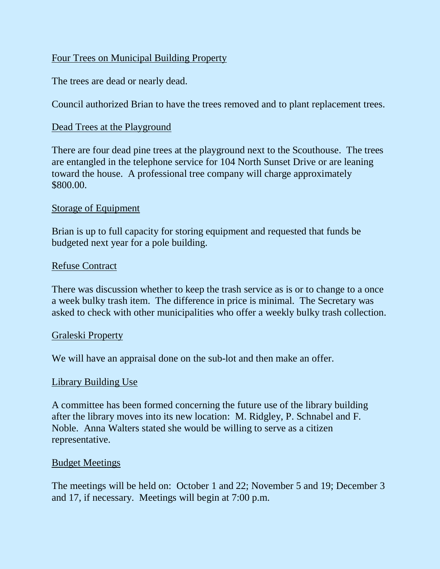## Four Trees on Municipal Building Property

The trees are dead or nearly dead.

Council authorized Brian to have the trees removed and to plant replacement trees.

## Dead Trees at the Playground

There are four dead pine trees at the playground next to the Scouthouse. The trees are entangled in the telephone service for 104 North Sunset Drive or are leaning toward the house. A professional tree company will charge approximately \$800.00.

### Storage of Equipment

Brian is up to full capacity for storing equipment and requested that funds be budgeted next year for a pole building.

### Refuse Contract

There was discussion whether to keep the trash service as is or to change to a once a week bulky trash item. The difference in price is minimal. The Secretary was asked to check with other municipalities who offer a weekly bulky trash collection.

### Graleski Property

We will have an appraisal done on the sub-lot and then make an offer.

### Library Building Use

A committee has been formed concerning the future use of the library building after the library moves into its new location: M. Ridgley, P. Schnabel and F. Noble. Anna Walters stated she would be willing to serve as a citizen representative.

### Budget Meetings

The meetings will be held on: October 1 and 22; November 5 and 19; December 3 and 17, if necessary. Meetings will begin at 7:00 p.m.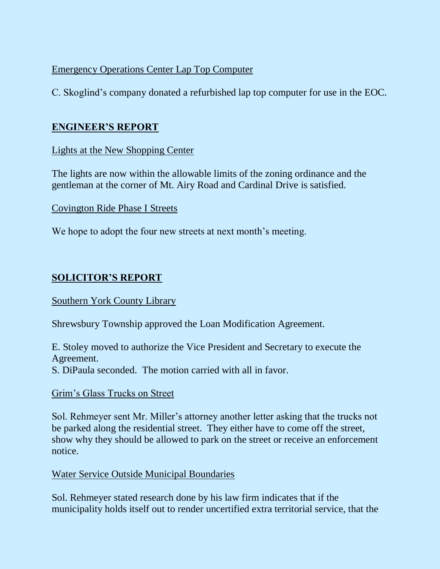## Emergency Operations Center Lap Top Computer

C. Skoglind's company donated a refurbished lap top computer for use in the EOC.

## **ENGINEER'S REPORT**

Lights at the New Shopping Center

The lights are now within the allowable limits of the zoning ordinance and the gentleman at the corner of Mt. Airy Road and Cardinal Drive is satisfied.

Covington Ride Phase I Streets

We hope to adopt the four new streets at next month's meeting.

# **SOLICITOR'S REPORT**

### Southern York County Library

Shrewsbury Township approved the Loan Modification Agreement.

E. Stoley moved to authorize the Vice President and Secretary to execute the Agreement.

S. DiPaula seconded. The motion carried with all in favor.

## Grim's Glass Trucks on Street

Sol. Rehmeyer sent Mr. Miller's attorney another letter asking that the trucks not be parked along the residential street. They either have to come off the street, show why they should be allowed to park on the street or receive an enforcement notice.

## Water Service Outside Municipal Boundaries

Sol. Rehmeyer stated research done by his law firm indicates that if the municipality holds itself out to render uncertified extra territorial service, that the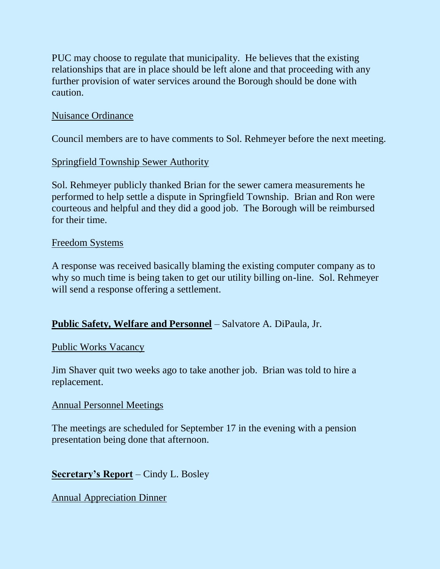PUC may choose to regulate that municipality. He believes that the existing relationships that are in place should be left alone and that proceeding with any further provision of water services around the Borough should be done with caution.

#### Nuisance Ordinance

Council members are to have comments to Sol. Rehmeyer before the next meeting.

#### Springfield Township Sewer Authority

Sol. Rehmeyer publicly thanked Brian for the sewer camera measurements he performed to help settle a dispute in Springfield Township. Brian and Ron were courteous and helpful and they did a good job. The Borough will be reimbursed for their time.

#### Freedom Systems

A response was received basically blaming the existing computer company as to why so much time is being taken to get our utility billing on-line. Sol. Rehmeyer will send a response offering a settlement.

### **Public Safety, Welfare and Personnel** – Salvatore A. DiPaula, Jr.

#### Public Works Vacancy

Jim Shaver quit two weeks ago to take another job. Brian was told to hire a replacement.

#### Annual Personnel Meetings

The meetings are scheduled for September 17 in the evening with a pension presentation being done that afternoon.

### **Secretary's Report** – Cindy L. Bosley

Annual Appreciation Dinner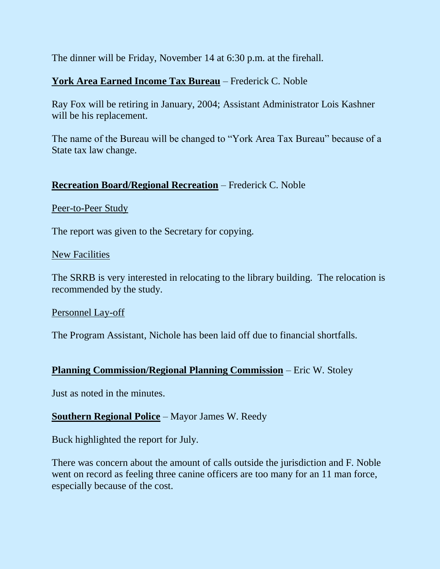The dinner will be Friday, November 14 at 6:30 p.m. at the firehall.

## **York Area Earned Income Tax Bureau** – Frederick C. Noble

Ray Fox will be retiring in January, 2004; Assistant Administrator Lois Kashner will be his replacement.

The name of the Bureau will be changed to "York Area Tax Bureau" because of a State tax law change.

### **Recreation Board/Regional Recreation** – Frederick C. Noble

#### Peer-to-Peer Study

The report was given to the Secretary for copying.

#### New Facilities

The SRRB is very interested in relocating to the library building. The relocation is recommended by the study.

#### Personnel Lay-off

The Program Assistant, Nichole has been laid off due to financial shortfalls.

### **Planning Commission/Regional Planning Commission** – Eric W. Stoley

Just as noted in the minutes.

### **Southern Regional Police** – Mayor James W. Reedy

Buck highlighted the report for July.

There was concern about the amount of calls outside the jurisdiction and F. Noble went on record as feeling three canine officers are too many for an 11 man force, especially because of the cost.